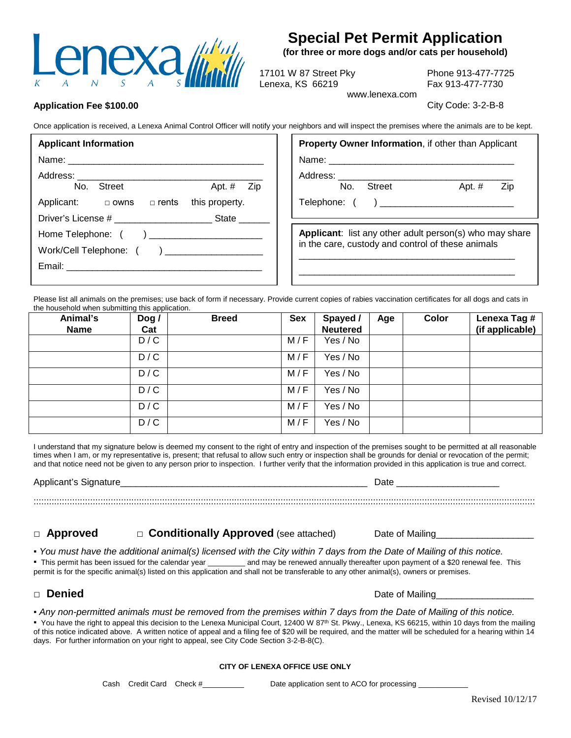

# **Special Pet Permit Application**

(for three or more dogs and/or cats per household)

17101 W 87 Street Pky Lenexa, KS 66219

Phone 913-477-7725 Fax 913-477-7730

www.lenexa.com

City Code: 3-2-B-8

# **Application Fee \$100.00**

Once application is received, a Lenexa Animal Control Officer will notify your neighbors and will inspect the premises where the animals are to be kept.

| <b>Applicant Information</b>                       | <b>Property Owner Information, if other than Applicant</b>     |  |  |  |  |  |
|----------------------------------------------------|----------------------------------------------------------------|--|--|--|--|--|
|                                                    |                                                                |  |  |  |  |  |
|                                                    |                                                                |  |  |  |  |  |
| No. Street<br>Apt. $#$ Zip                         | Apt. $#$<br>No. Street<br>Zip                                  |  |  |  |  |  |
| Applicant: $\Box$ owns $\Box$ rents this property. |                                                                |  |  |  |  |  |
| Driver's License # State                           |                                                                |  |  |  |  |  |
| Home Telephone: ( ) _______________________        | <b>Applicant:</b> list any other adult person(s) who may share |  |  |  |  |  |
| Work/Cell Telephone: () ___________________        | in the care, custody and control of these animals              |  |  |  |  |  |
|                                                    |                                                                |  |  |  |  |  |
|                                                    |                                                                |  |  |  |  |  |

Please list all animals on the premises; use back of form if necessary. Provide current copies of rabies vaccination certificates for all dogs and cats in the household when submitting this application.

| Animal's<br><b>Name</b> | $\log$<br>Cat | <b>Breed</b> | <b>Sex</b> | Spayed /<br><b>Neutered</b> | Age | Color | Lenexa Tag #<br>(if applicable) |
|-------------------------|---------------|--------------|------------|-----------------------------|-----|-------|---------------------------------|
|                         | D/C           |              | M/F        | Yes / No                    |     |       |                                 |
|                         | D/C           |              | M/F        | Yes / No                    |     |       |                                 |
|                         | D/C           |              | M/F        | Yes / No                    |     |       |                                 |
|                         | D / C         |              | M/F        | Yes / No                    |     |       |                                 |
|                         | D/C           |              | M/F        | Yes / No                    |     |       |                                 |
|                         | D/C           |              | M/F        | Yes / No                    |     |       |                                 |

I understand that my signature below is deemed my consent to the right of entry and inspection of the premises sought to be permitted at all reasonable times when I am, or my representative is, present; that refusal to allow such entry or inspection shall be grounds for denial or revocation of the permit; and that notice need not be given to any person prior to inspection. I further verify that the information provided in this application is true and correct.

Applicant's Signature

Date

#### **Approved** □ Conditionally Approved (see attached)

• You must have the additional animal(s) licensed with the City within 7 days from the Date of Mailing of this notice.

" This permit has been issued for the calendar year \_\_\_\_\_\_\_\_\_\_ and may be renewed annually thereafter upon payment of a \$20 renewal fee. This permit is for the specific animal(s) listed on this application and shall not be transferable to any other animal(s), owners or premises.

# □ Denied

Date of Mailing

Date of Mailing

• Any non-permitted animals must be removed from the premises within 7 days from the Date of Mailing of this notice.

• You have the right to appeal this decision to the Lenexa Municipal Court, 12400 W 87<sup>th</sup> St. Pkwy., Lenexa, KS 66215, within 10 days from the mailing of this notice indicated above. A written notice of appeal and a filing fee of \$20 will be required, and the matter will be scheduled for a hearing within 14 days. For further information on your right to appeal, see City Code Section 3-2-B-8(C).

### CITY OF LENEXA OFFICE USE ONLY

Cash Credit Card Check #

Date application sent to ACO for processing